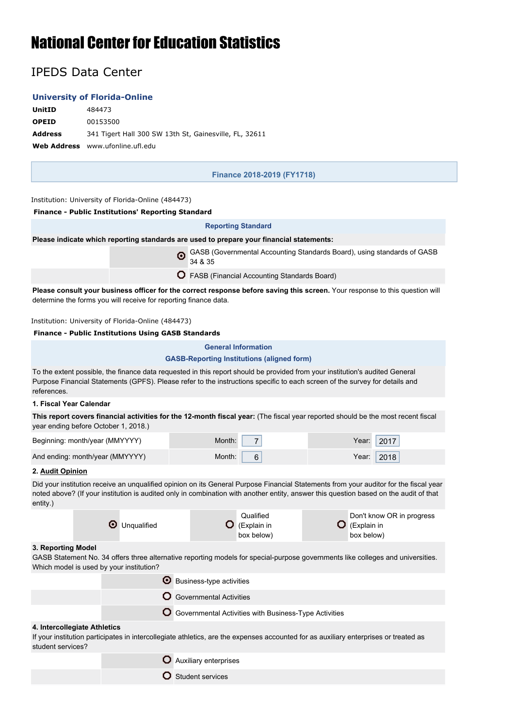# National Center for Education Statistics

# IPEDS Data Center

# **University of Florida-Online**

| UnitID         | 484473                                                 |
|----------------|--------------------------------------------------------|
| <b>OPEID</b>   | 00153500                                               |
| <b>Address</b> | 341 Tigert Hall 300 SW 13th St, Gainesville, FL, 32611 |
|                | <b>Web Address</b> www.ufonline.ufl.edu                |

**Finance 2018-2019 (FY1718)**

Institution: University of Florida-Online (484473)

| <b>Finance - Public Institutions' Reporting Standard</b>                                                                                                                                                                                                                                   |                                                                                    |                                                   |                                                 |  |                                        |                           |  |
|--------------------------------------------------------------------------------------------------------------------------------------------------------------------------------------------------------------------------------------------------------------------------------------------|------------------------------------------------------------------------------------|---------------------------------------------------|-------------------------------------------------|--|----------------------------------------|---------------------------|--|
|                                                                                                                                                                                                                                                                                            |                                                                                    | <b>Reporting Standard</b>                         |                                                 |  |                                        |                           |  |
| Please indicate which reporting standards are used to prepare your financial statements:                                                                                                                                                                                                   |                                                                                    |                                                   |                                                 |  |                                        |                           |  |
|                                                                                                                                                                                                                                                                                            | GASB (Governmental Accounting Standards Board), using standards of GASB<br>34 & 35 |                                                   |                                                 |  |                                        |                           |  |
|                                                                                                                                                                                                                                                                                            |                                                                                    |                                                   | O FASB (Financial Accounting Standards Board)   |  |                                        |                           |  |
| Please consult your business officer for the correct response before saving this screen. Your response to this question will<br>determine the forms you will receive for reporting finance data.                                                                                           |                                                                                    |                                                   |                                                 |  |                                        |                           |  |
| Institution: University of Florida-Online (484473)                                                                                                                                                                                                                                         |                                                                                    |                                                   |                                                 |  |                                        |                           |  |
| <b>Finance - Public Institutions Using GASB Standards</b>                                                                                                                                                                                                                                  |                                                                                    |                                                   |                                                 |  |                                        |                           |  |
|                                                                                                                                                                                                                                                                                            |                                                                                    | <b>General Information</b>                        |                                                 |  |                                        |                           |  |
|                                                                                                                                                                                                                                                                                            |                                                                                    | <b>GASB-Reporting Institutions (aligned form)</b> |                                                 |  |                                        |                           |  |
| To the extent possible, the finance data requested in this report should be provided from your institution's audited General<br>Purpose Financial Statements (GPFS). Please refer to the instructions specific to each screen of the survey for details and<br>references.                 |                                                                                    |                                                   |                                                 |  |                                        |                           |  |
| 1. Fiscal Year Calendar                                                                                                                                                                                                                                                                    |                                                                                    |                                                   |                                                 |  |                                        |                           |  |
| This report covers financial activities for the 12-month fiscal year: (The fiscal year reported should be the most recent fiscal<br>year ending before October 1, 2018.)                                                                                                                   |                                                                                    |                                                   |                                                 |  |                                        |                           |  |
| Beginning: month/year (MMYYYY)                                                                                                                                                                                                                                                             |                                                                                    | Month:                                            | 7                                               |  | Year:                                  | 2017                      |  |
| And ending: month/year (MMYYYY)                                                                                                                                                                                                                                                            |                                                                                    | Month:                                            | 6                                               |  | Year:                                  | 2018                      |  |
| 2. Audit Opinion                                                                                                                                                                                                                                                                           |                                                                                    |                                                   |                                                 |  |                                        |                           |  |
| Did your institution receive an unqualified opinion on its General Purpose Financial Statements from your auditor for the fiscal year<br>noted above? (If your institution is audited only in combination with another entity, answer this question based on the audit of that<br>entity.) |                                                                                    |                                                   |                                                 |  |                                        |                           |  |
|                                                                                                                                                                                                                                                                                            | <b>O</b> Unqualified                                                               |                                                   | Qualified<br><b>Q</b> (Explain in<br>box below) |  | $\mathbf{Q}$ (Explain in<br>box below) | Don't know OR in progress |  |
| 3. Reporting Model<br>GASB Statement No. 34 offers three alternative reporting models for special-purpose governments like colleges and universities.<br>Which model is used by your institution?                                                                                          |                                                                                    |                                                   |                                                 |  |                                        |                           |  |
|                                                                                                                                                                                                                                                                                            | <b>O</b> Business-type activities                                                  |                                                   |                                                 |  |                                        |                           |  |
| Governmental Activities                                                                                                                                                                                                                                                                    |                                                                                    |                                                   |                                                 |  |                                        |                           |  |
|                                                                                                                                                                                                                                                                                            | O Governmental Activities with Business-Type Activities                            |                                                   |                                                 |  |                                        |                           |  |
| 4. Intercollegiate Athletics<br>If your institution participates in intercollegiate athletics, are the expenses accounted for as auxiliary enterprises or treated as<br>student services?                                                                                                  |                                                                                    |                                                   |                                                 |  |                                        |                           |  |

- Auxiliary enterprises
- **O** Student services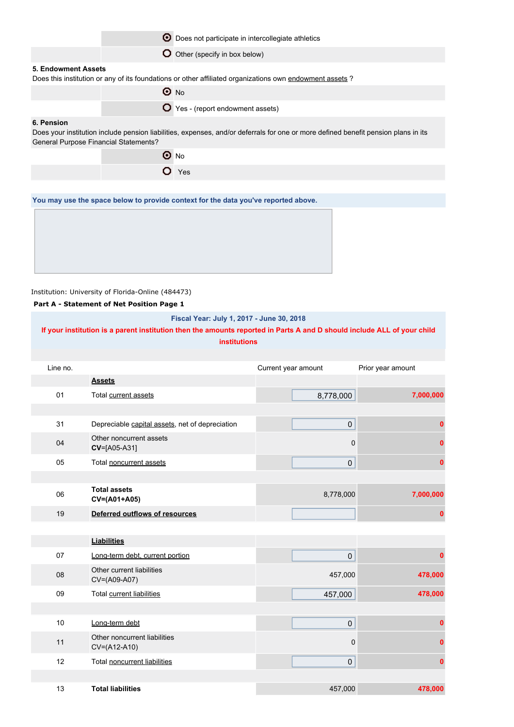|                                                            | О | Does not participate in intercollegiate athletics                                                                                  |  |
|------------------------------------------------------------|---|------------------------------------------------------------------------------------------------------------------------------------|--|
|                                                            |   | O Other (specify in box below)                                                                                                     |  |
| 5. Endowment Assets                                        |   | Does this institution or any of its foundations or other affiliated organizations own endowment assets?                            |  |
|                                                            |   | $\odot$ No                                                                                                                         |  |
|                                                            |   | ◯ Yes - (report endowment assets)                                                                                                  |  |
| 6. Pension<br><b>General Purpose Financial Statements?</b> |   | Does your institution include pension liabilities, expenses, and/or deferrals for one or more defined benefit pension plans in its |  |
|                                                            |   | $\odot$ No                                                                                                                         |  |
|                                                            |   | $O$ Yes                                                                                                                            |  |
|                                                            |   |                                                                                                                                    |  |
|                                                            |   | You may use the space below to provide context for the data you've reported above.                                                 |  |
|                                                            |   |                                                                                                                                    |  |

#### **Part A - Statement of Net Position Page 1**

**Fiscal Year: July 1, 2017 - June 30, 2018**

**If your institution is a parent institution then the amounts reported in Parts A and D should include ALL of your child institutions**

| Line no. |                                                 | Current year amount | Prior year amount |
|----------|-------------------------------------------------|---------------------|-------------------|
|          | <b>Assets</b>                                   |                     |                   |
| 01       | Total current assets                            | 8,778,000           | 7,000,000         |
|          |                                                 |                     |                   |
| 31       | Depreciable capital assets, net of depreciation | $\mathsf{O}\xspace$ | 0                 |
| 04       | Other noncurrent assets<br>CV=[A05-A31]         | $\mathbf 0$         |                   |
| 05       | Total noncurrent assets                         | 0                   | 0                 |
|          |                                                 |                     |                   |
| 06       | <b>Total assets</b><br>CV=(A01+A05)             | 8,778,000           | 7,000,000         |
| 19       | Deferred outflows of resources                  |                     | 0                 |
|          |                                                 |                     |                   |
|          | <b>Liabilities</b>                              |                     |                   |
| 07       | Long-term debt, current portion                 | $\pmb{0}$           | 0                 |
| 08       | Other current liabilities<br>CV=(A09-A07)       | 457,000             | 478,000           |
| 09       | Total current liabilities                       | 457,000             | 478,000           |
|          |                                                 |                     |                   |
| 10       | Long-term debt                                  | $\pmb{0}$           | $\bf{0}$          |
| 11       | Other noncurrent liabilities<br>CV=(A12-A10)    | 0                   |                   |
| 12       | Total noncurrent liabilities                    | $\pmb{0}$           | 0                 |
|          |                                                 |                     |                   |
| 13       | <b>Total liabilities</b>                        | 457,000             | 478,000           |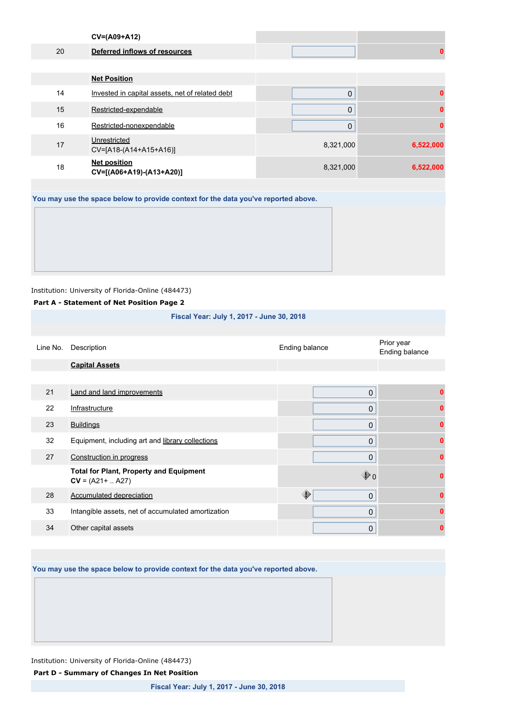|                                                                                    | CV=(A09+A12)                                    |           |           |  |
|------------------------------------------------------------------------------------|-------------------------------------------------|-----------|-----------|--|
| 20                                                                                 | Deferred inflows of resources                   |           | 0         |  |
|                                                                                    |                                                 |           |           |  |
|                                                                                    | <b>Net Position</b>                             |           |           |  |
| 14                                                                                 | Invested in capital assets, net of related debt | 0         | 0         |  |
| 15                                                                                 | Restricted-expendable                           | 0         | 0         |  |
| 16                                                                                 | Restricted-nonexpendable                        | 0         | 0         |  |
| 17                                                                                 | Unrestricted<br>CV=[A18-(A14+A15+A16)]          | 8,321,000 | 6,522,000 |  |
| 18                                                                                 | <b>Net position</b><br>CV=[(A06+A19)-(A13+A20)] | 8,321,000 | 6,522,000 |  |
|                                                                                    |                                                 |           |           |  |
| You may use the space below to provide context for the data you've reported above. |                                                 |           |           |  |
|                                                                                    |                                                 |           |           |  |

### **Part A - Statement of Net Position Page 2**

**Fiscal Year: July 1, 2017 - June 30, 2018**

| Line No. | Description                                                           | Ending balance       | Prior year<br>Ending balance |
|----------|-----------------------------------------------------------------------|----------------------|------------------------------|
|          | <b>Capital Assets</b>                                                 |                      |                              |
|          |                                                                       |                      |                              |
| 21       | <b>Land and land improvements</b>                                     | 0                    |                              |
| 22       | Infrastructure                                                        | 0                    |                              |
| 23       | <b>Buildings</b>                                                      | 0                    | ŋ                            |
| 32       | Equipment, including art and library collections                      | 0                    | n                            |
| 27       | Construction in progress                                              | 0                    | ŋ                            |
|          | <b>Total for Plant, Property and Equipment</b><br>$CV = (A21 +  A27)$ | $\mathbf{\bullet}$ 0 | n                            |
| 28       | <b>Accumulated depreciation</b>                                       | ⊕<br>0               | ŋ                            |
| 33       | Intangible assets, net of accumulated amortization                    | 0                    | ŋ                            |
| 34       | Other capital assets                                                  | 0                    | 0                            |

**You may use the space below to provide context for the data you've reported above.**

Institution: University of Florida-Online (484473)

**Part D - Summary of Changes In Net Position**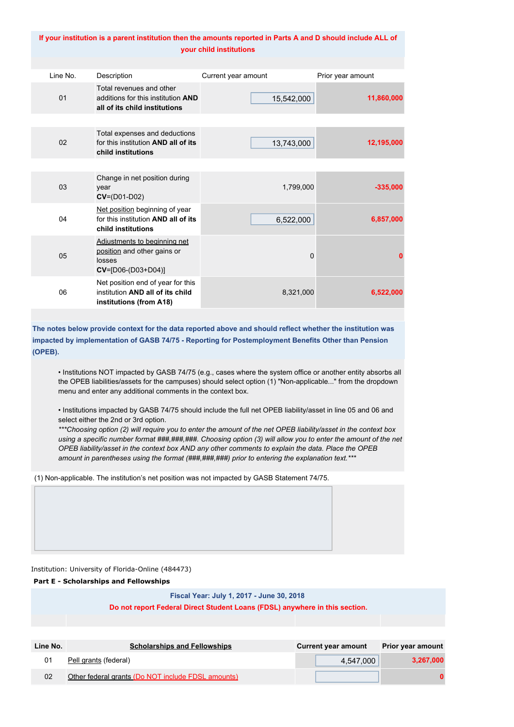#### **If your institution is a parent institution then the amounts reported in Parts A and D should include ALL of your child institutions**

| Line No. | Description                                                                                      | Current year amount | Prior year amount |
|----------|--------------------------------------------------------------------------------------------------|---------------------|-------------------|
| 01       | Total revenues and other<br>additions for this institution AND<br>all of its child institutions  | 15,542,000          | 11,860,000        |
|          |                                                                                                  |                     |                   |
| 02       | Total expenses and deductions<br>for this institution AND all of its<br>child institutions       | 13,743,000          | 12,195,000        |
|          |                                                                                                  |                     |                   |
| 03       | Change in net position during<br>year<br>$CV=(D01-D02)$                                          | 1,799,000           | $-335,000$        |
| 04       | Net position beginning of year<br>for this institution AND all of its<br>child institutions      | 6,522,000           | 6,857,000         |
| 05       | Adjustments to beginning net<br>position and other gains or<br>losses<br>$CV=[D06-(D03+D04)]$    | $\Omega$            | 0                 |
| 06       | Net position end of year for this<br>institution AND all of its child<br>institutions (from A18) | 8,321,000           | 6,522,000         |

**The notes below provide context for the data reported above and should reflect whether the institution was impacted by implementation of GASB 74/75 - Reporting for Postemployment Benefits Other than Pension (OPEB).**

• Institutions NOT impacted by GASB 74/75 (e.g., cases where the system office or another entity absorbs all the OPEB liabilities/assets for the campuses) should select option (1) "Non-applicable..." from the dropdown menu and enter any additional comments in the context box.

• Institutions impacted by GASB 74/75 should include the full net OPEB liability/asset in line 05 and 06 and select either the 2nd or 3rd option.

*\*\*\*Choosing option (2) will require you to enter the amount of the net OPEB liability/asset in the context box using a specific number format ###,###,###. Choosing option (3) will allow you to enter the amount of the net OPEB liability/asset in the context box AND any other comments to explain the data. Place the OPEB amount in parentheses using the format (###,###,###) prior to entering the explanation text.\*\*\**

(1) Non-applicable. The institution's net position was not impacted by GASB Statement 74/75.

Institution: University of Florida-Online (484473)

**Part E - Scholarships and Fellowships**

#### **Fiscal Year: July 1, 2017 - June 30, 2018**

**Do not report Federal Direct Student Loans (FDSL) anywhere in this section.**

| Line No. | <b>Scholarships and Fellowships</b>                | <b>Current year amount</b> | <b>Prior year amount</b> |
|----------|----------------------------------------------------|----------------------------|--------------------------|
| 01       | Pell grants (federal)                              | 4.547.000                  | 3,267,000                |
| 02       | Other federal grants (Do NOT include FDSL amounts) |                            |                          |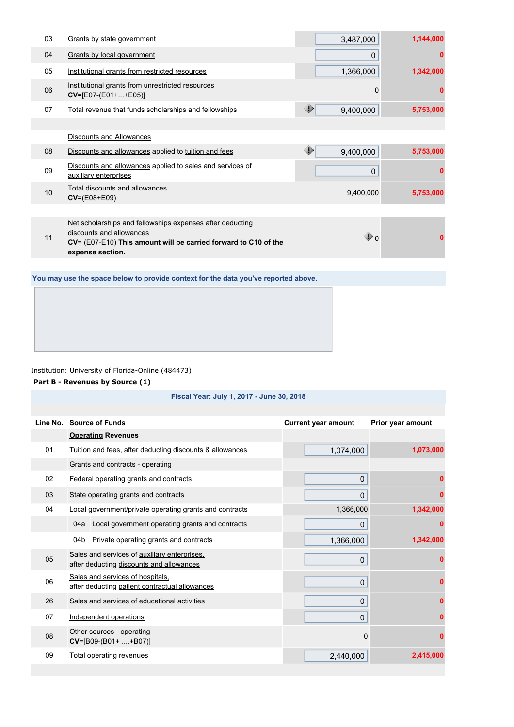| 03 | Grants by state government                                                                                                                                                   | 3,487,000               | 1,144,000 |
|----|------------------------------------------------------------------------------------------------------------------------------------------------------------------------------|-------------------------|-----------|
| 04 | Grants by local government                                                                                                                                                   | 0                       |           |
| 05 | Institutional grants from restricted resources                                                                                                                               | 1,366,000               | 1,342,000 |
| 06 | Institutional grants from unrestricted resources<br>$CV = [E07-(E01++E05)]$                                                                                                  | 0                       | n         |
| 07 | Total revenue that funds scholarships and fellowships                                                                                                                        | ◈<br>9,400,000          | 5,753,000 |
|    |                                                                                                                                                                              |                         |           |
|    | Discounts and Allowances                                                                                                                                                     |                         |           |
| 08 | Discounts and allowances applied to tuition and fees                                                                                                                         | ◈<br>9,400,000          | 5,753,000 |
| 09 | Discounts and allowances applied to sales and services of<br>auxiliary enterprises                                                                                           | $\mathbf 0$             |           |
| 10 | Total discounts and allowances<br>$CV=(E08+E09)$                                                                                                                             | 9,400,000               | 5,753,000 |
|    |                                                                                                                                                                              |                         |           |
| 11 | Net scholarships and fellowships expenses after deducting<br>discounts and allowances<br>CV= (E07-E10) This amount will be carried forward to C10 of the<br>expense section. | $\mathbf{\mathbb{D}}_0$ |           |

**You may use the space below to provide context for the data you've reported above.**

Institution: University of Florida-Online (484473)

#### **Part B - Revenues by Source (1)**

#### **Fiscal Year: July 1, 2017 - June 30, 2018**

|    | Line No. Source of Funds                                                                 | <b>Current year amount</b> | Prior year amount |
|----|------------------------------------------------------------------------------------------|----------------------------|-------------------|
|    | <b>Operating Revenues</b>                                                                |                            |                   |
| 01 | Tuition and fees, after deducting discounts & allowances                                 | 1,074,000                  | 1,073,000         |
|    | Grants and contracts - operating                                                         |                            |                   |
| 02 | Federal operating grants and contracts                                                   | $\mathbf 0$                |                   |
| 03 | State operating grants and contracts                                                     | $\mathbf 0$                | 0                 |
| 04 | Local government/private operating grants and contracts                                  | 1,366,000                  | 1,342,000         |
|    | 04a Local government operating grants and contracts                                      | 0                          |                   |
|    | 04b Private operating grants and contracts                                               | 1,366,000                  | 1,342,000         |
| 05 | Sales and services of auxiliary enterprises.<br>after deducting discounts and allowances | $\mathbf 0$                | Ω                 |
| 06 | Sales and services of hospitals.<br>after deducting patient contractual allowances       | $\mathbf 0$                |                   |
| 26 | Sales and services of educational activities                                             | $\mathbf 0$                |                   |
| 07 | Independent operations                                                                   | $\mathbf{0}$               |                   |
| 08 | Other sources - operating<br>$CV=[B09-(B01++B07)]$                                       | $\mathbf 0$                | Ω                 |
| 09 | Total operating revenues                                                                 | 2,440,000                  | 2,415,000         |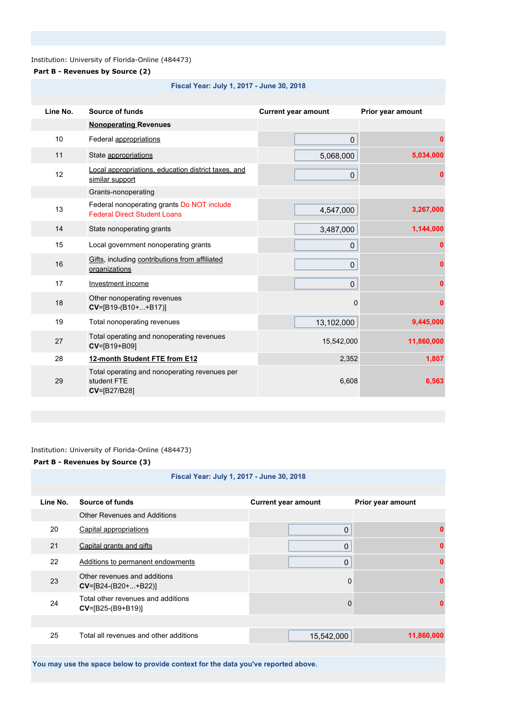# **Part B - Revenues by Source (2)**

#### **Fiscal Year: July 1, 2017 - June 30, 2018**

| Line No. | Source of funds                                                                   | <b>Current year amount</b> | Prior year amount |
|----------|-----------------------------------------------------------------------------------|----------------------------|-------------------|
|          | <b>Nonoperating Revenues</b>                                                      |                            |                   |
| 10       | Federal appropriations                                                            | 0                          | 0                 |
| 11       | State appropriations                                                              | 5,068,000                  | 5,034,000         |
| 12       | Local appropriations, education district taxes, and<br>similar support            | $\mathbf{0}$               |                   |
|          | Grants-nonoperating                                                               |                            |                   |
| 13       | Federal nonoperating grants Do NOT include<br><b>Federal Direct Student Loans</b> | 4,547,000                  | 3,267,000         |
| 14       | State nonoperating grants                                                         | 3,487,000                  | 1,144,000         |
| 15       | Local government nonoperating grants                                              | 0                          | n                 |
| 16       | Gifts, including contributions from affiliated<br>organizations                   | $\mathbf 0$                | n                 |
| 17       | Investment income                                                                 | 0                          | 0                 |
| 18       | Other nonoperating revenues<br>$CV=[B19-(B10++B17)]$                              | $\mathbf 0$                | 0                 |
| 19       | Total nonoperating revenues                                                       | 13,102,000                 | 9,445,000         |
| 27       | Total operating and nonoperating revenues<br>CV=[B19+B09]                         | 15,542,000                 | 11,860,000        |
| 28       | 12-month Student FTE from E12                                                     | 2,352                      | 1,807             |
| 29       | Total operating and nonoperating revenues per<br>student FTE<br>CV=[B27/B28]      | 6,608                      | 6,563             |

#### Institution: University of Florida-Online (484473)

#### **Part B - Revenues by Source (3)**

#### **Fiscal Year: July 1, 2017 - June 30, 2018**

| Line No. | Source of funds                                           | <b>Current year amount</b> | Prior year amount |
|----------|-----------------------------------------------------------|----------------------------|-------------------|
|          | Other Revenues and Additions                              |                            |                   |
| 20       | Capital appropriations                                    | 0                          | U                 |
| 21       | Capital grants and gifts                                  | 0                          |                   |
| 22       | Additions to permanent endowments                         | 0                          |                   |
| 23       | Other revenues and additions<br>$CV=[B24-(B20++B22)]$     | $\mathbf 0$                |                   |
| 24       | Total other revenues and additions<br>$CV=[B25-(B9+B19)]$ | $\Omega$                   |                   |
|          |                                                           |                            |                   |
| 25       | Total all revenues and other additions                    | 15,542,000                 | 11,860,000        |

**You may use the space below to provide context for the data you've reported above.**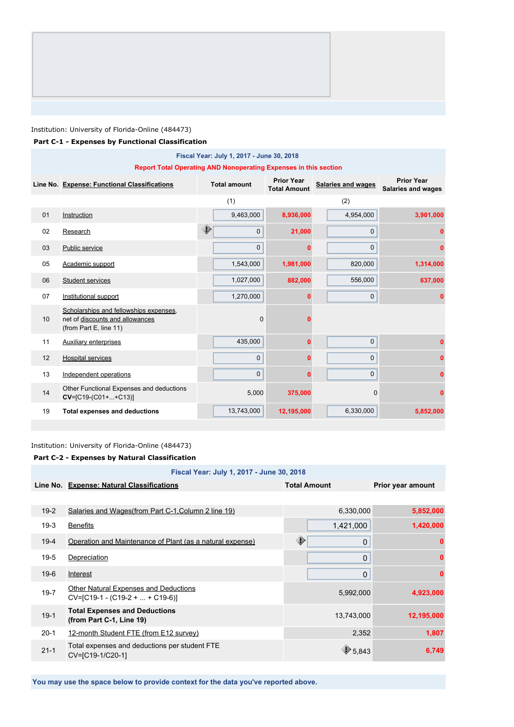#### **Part C-1 - Expenses by Functional Classification**

| Fiscal Year: July 1, 2017 - June 30, 2018 |                                                                                                     |                     |             |                                          |                           |                                                |
|-------------------------------------------|-----------------------------------------------------------------------------------------------------|---------------------|-------------|------------------------------------------|---------------------------|------------------------------------------------|
|                                           | <b>Report Total Operating AND Nonoperating Expenses in this section</b>                             |                     |             |                                          |                           |                                                |
|                                           | Line No. Expense: Functional Classifications                                                        | <b>Total amount</b> |             | <b>Prior Year</b><br><b>Total Amount</b> | <b>Salaries and wages</b> | <b>Prior Year</b><br><b>Salaries and wages</b> |
|                                           |                                                                                                     |                     | (1)         |                                          | (2)                       |                                                |
| 01                                        | Instruction                                                                                         |                     | 9,463,000   | 8,936,000                                | 4,954,000                 | 3,901,000                                      |
| 02                                        | Research                                                                                            | ◈                   | $\mathbf 0$ | 21,000                                   | $\mathbf{0}$              | n                                              |
| 03                                        | Public service                                                                                      |                     | $\Omega$    |                                          | $\mathbf 0$               | 0                                              |
| 05                                        | Academic support                                                                                    |                     | 1,543,000   | 1,981,000                                | 820,000                   | 1,314,000                                      |
| 06                                        | Student services                                                                                    |                     | 1,027,000   | 882,000                                  | 556,000                   | 637,000                                        |
| 07                                        | Institutional support                                                                               |                     | 1,270,000   | 0                                        | $\mathbf 0$               | 0                                              |
| 10                                        | Scholarships and fellowships expenses.<br>net of discounts and allowances<br>(from Part E, line 11) |                     | $\mathbf 0$ |                                          |                           |                                                |
| 11                                        | <b>Auxiliary enterprises</b>                                                                        |                     | 435,000     |                                          | $\mathbf 0$               |                                                |
| 12                                        | <b>Hospital services</b>                                                                            |                     | $\mathbf 0$ |                                          | $\mathbf 0$               |                                                |
| 13                                        | Independent operations                                                                              |                     | 0           | ŋ                                        | $\mathbf{0}$              | n                                              |
| 14                                        | Other Functional Expenses and deductions<br>$CV=[C19-(C01++C13)]$                                   |                     | 5,000       | 375,000                                  | 0                         | 0                                              |
| 19                                        | <b>Total expenses and deductions</b>                                                                |                     | 13,743,000  | 12,195,000                               | 6,330,000                 | 5,852,000                                      |

#### Institution: University of Florida-Online (484473)

#### **Part C-2 - Expenses by Natural Classification**

| Fiscal Year: July 1, 2017 - June 30, 2018 |                                                                                   |                     |                   |
|-------------------------------------------|-----------------------------------------------------------------------------------|---------------------|-------------------|
|                                           | Line No. Expense: Natural Classifications                                         | <b>Total Amount</b> | Prior year amount |
|                                           |                                                                                   |                     |                   |
| $19-2$                                    | Salaries and Wages (from Part C-1, Column 2 line 19)                              | 6,330,000           | 5,852,000         |
| $19-3$                                    | <b>Benefits</b>                                                                   | 1,421,000           | 1,420,000         |
| $19 - 4$                                  | Operation and Maintenance of Plant (as a natural expense)                         | ⊕<br>0              | 0                 |
| $19-5$                                    | Depreciation                                                                      | 0                   |                   |
| $19-6$                                    | Interest                                                                          | 0                   | 0                 |
| $19 - 7$                                  | <b>Other Natural Expenses and Deductions</b><br>$CV=[C19-1 - (C19-2 +  + C19-6)]$ | 5,992,000           | 4,923,000         |
| $19-1$                                    | <b>Total Expenses and Deductions</b><br>(from Part C-1, Line 19)                  | 13,743,000          | 12,195,000        |
| $20-1$                                    | 12-month Student FTE (from E12 survey)                                            | 2,352               | 1,807             |
| $21 - 1$                                  | Total expenses and deductions per student FTE<br>CV=[C19-1/C20-1]                 | $\bigcirc$ 5,843    | 6,749             |

**You may use the space below to provide context for the data you've reported above.**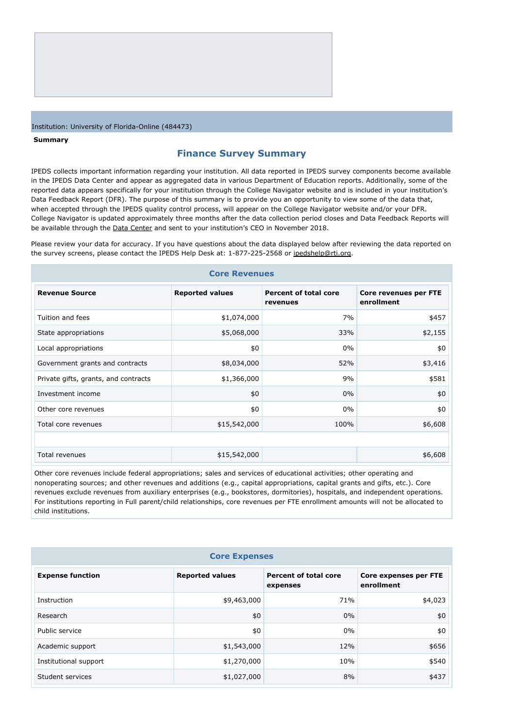#### **Summary**

#### **Finance Survey Summary**

IPEDS collects important information regarding your institution. All data reported in IPEDS survey components become available in the IPEDS Data Center and appear as aggregated data in various Department of Education reports. Additionally, some of the reported data appears specifically for your institution through the College Navigator website and is included in your institution's Data Feedback Report (DFR). The purpose of this summary is to provide you an opportunity to view some of the data that, when accepted through the IPEDS quality control process, will appear on the College Navigator website and/or your DFR. College Navigator is updated approximately three months after the data collection period closes and Data Feedback Reports will be available through the **[Data Center](https://nces.ed.gov/ipeds/use-the-data)** and sent to your institution's CEO in November 2018.

Please review your data for accuracy. If you have questions about the data displayed below after reviewing the data reported on the survey screens, please contact the IPEDS Help Desk at: 1-877-225-2568 or [ipedshelp@rti.org](mailto:ipedshelp@rti.org).

| <b>Core Revenues</b>                 |                        |                                          |                                     |  |
|--------------------------------------|------------------------|------------------------------------------|-------------------------------------|--|
| <b>Revenue Source</b>                | <b>Reported values</b> | <b>Percent of total core</b><br>revenues | Core revenues per FTE<br>enrollment |  |
| Tuition and fees                     | \$1,074,000            | 7%                                       | \$457                               |  |
| State appropriations                 | \$5,068,000            | 33%                                      | \$2,155                             |  |
| Local appropriations                 | \$0                    | $0\%$                                    | \$0                                 |  |
| Government grants and contracts      | \$8,034,000            | 52%                                      | \$3,416                             |  |
| Private gifts, grants, and contracts | \$1,366,000            | 9%                                       | \$581                               |  |
| Investment income                    | \$0                    | $0\%$                                    | \$0                                 |  |
| Other core revenues                  | \$0                    | $0\%$                                    | \$0                                 |  |
| Total core revenues                  | \$15,542,000           | 100%                                     | \$6,608                             |  |
|                                      |                        |                                          |                                     |  |
| Total revenues                       | \$15,542,000           |                                          | \$6,608                             |  |

Other core revenues include federal appropriations; sales and services of educational activities; other operating and nonoperating sources; and other revenues and additions (e.g., capital appropriations, capital grants and gifts, etc.). Core revenues exclude revenues from auxiliary enterprises (e.g., bookstores, dormitories), hospitals, and independent operations. For institutions reporting in Full parent/child relationships, core revenues per FTE enrollment amounts will not be allocated to child institutions.

| <b>Core Expenses</b>    |                        |                                          |                                     |  |
|-------------------------|------------------------|------------------------------------------|-------------------------------------|--|
| <b>Expense function</b> | <b>Reported values</b> | <b>Percent of total core</b><br>expenses | Core expenses per FTE<br>enrollment |  |
| Instruction             | \$9,463,000            | 71%                                      | \$4,023                             |  |
| Research                | \$0                    | $0\%$                                    | \$0                                 |  |
| Public service          | \$0                    | $0\%$                                    | \$0                                 |  |
| Academic support        | \$1,543,000            | 12%                                      | \$656                               |  |
| Institutional support   | \$1,270,000            | 10%                                      | \$540                               |  |
| Student services        | \$1,027,000            | 8%                                       | \$437                               |  |